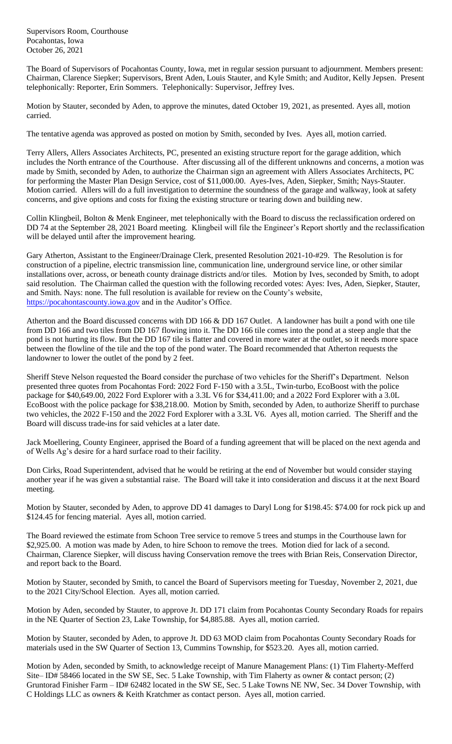Supervisors Room, Courthouse Pocahontas, Iowa October 26, 2021

The Board of Supervisors of Pocahontas County, Iowa, met in regular session pursuant to adjournment. Members present: Chairman, Clarence Siepker; Supervisors, Brent Aden, Louis Stauter, and Kyle Smith; and Auditor, Kelly Jepsen. Present telephonically: Reporter, Erin Sommers. Telephonically: Supervisor, Jeffrey Ives.

Motion by Stauter, seconded by Aden, to approve the minutes, dated October 19, 2021, as presented. Ayes all, motion carried.

The tentative agenda was approved as posted on motion by Smith, seconded by Ives. Ayes all, motion carried.

Terry Allers, Allers Associates Architects, PC, presented an existing structure report for the garage addition, which includes the North entrance of the Courthouse. After discussing all of the different unknowns and concerns, a motion was made by Smith, seconded by Aden, to authorize the Chairman sign an agreement with Allers Associates Architects, PC for performing the Master Plan Design Service, cost of \$11,000.00. Ayes-Ives, Aden, Siepker, Smith; Nays-Stauter. Motion carried. Allers will do a full investigation to determine the soundness of the garage and walkway, look at safety concerns, and give options and costs for fixing the existing structure or tearing down and building new.

Collin Klingbeil, Bolton & Menk Engineer, met telephonically with the Board to discuss the reclassification ordered on DD 74 at the September 28, 2021 Board meeting. Klingbeil will file the Engineer's Report shortly and the reclassification will be delayed until after the improvement hearing.

Gary Atherton, Assistant to the Engineer/Drainage Clerk, presented Resolution 2021-10-#29. The Resolution is for construction of a pipeline, electric transmission line, communication line, underground service line, or other similar installations over, across, or beneath county drainage districts and/or tiles. Motion by Ives, seconded by Smith, to adopt said resolution. The Chairman called the question with the following recorded votes: Ayes: Ives, Aden, Siepker, Stauter, and Smith. Nays: none. The full resolution is available for review on the County's website, [https://pocahontascounty.iowa.gov](https://pocahontascounty.iowa.gov/) and in the Auditor's Office.

Atherton and the Board discussed concerns with DD 166 & DD 167 Outlet. A landowner has built a pond with one tile from DD 166 and two tiles from DD 167 flowing into it. The DD 166 tile comes into the pond at a steep angle that the pond is not hurting its flow. But the DD 167 tile is flatter and covered in more water at the outlet, so it needs more space between the flowline of the tile and the top of the pond water. The Board recommended that Atherton requests the landowner to lower the outlet of the pond by 2 feet.

Sheriff Steve Nelson requested the Board consider the purchase of two vehicles for the Sheriff's Department. Nelson presented three quotes from Pocahontas Ford: 2022 Ford F-150 with a 3.5L, Twin-turbo, EcoBoost with the police package for \$40,649.00, 2022 Ford Explorer with a 3.3L V6 for \$34,411.00; and a 2022 Ford Explorer with a 3.0L EcoBoost with the police package for \$38,218.00. Motion by Smith, seconded by Aden, to authorize Sheriff to purchase two vehicles, the 2022 F-150 and the 2022 Ford Explorer with a 3.3L V6. Ayes all, motion carried. The Sheriff and the Board will discuss trade-ins for said vehicles at a later date.

Jack Moellering, County Engineer, apprised the Board of a funding agreement that will be placed on the next agenda and of Wells Ag's desire for a hard surface road to their facility.

Don Cirks, Road Superintendent, advised that he would be retiring at the end of November but would consider staying another year if he was given a substantial raise. The Board will take it into consideration and discuss it at the next Board meeting.

Motion by Stauter, seconded by Aden, to approve DD 41 damages to Daryl Long for \$198.45: \$74.00 for rock pick up and \$124.45 for fencing material. Ayes all, motion carried.

The Board reviewed the estimate from Schoon Tree service to remove 5 trees and stumps in the Courthouse lawn for \$2,925.00. A motion was made by Aden, to hire Schoon to remove the trees. Motion died for lack of a second. Chairman, Clarence Siepker, will discuss having Conservation remove the trees with Brian Reis, Conservation Director, and report back to the Board.

Motion by Stauter, seconded by Smith, to cancel the Board of Supervisors meeting for Tuesday, November 2, 2021, due to the 2021 City/School Election. Ayes all, motion carried.

Motion by Aden, seconded by Stauter, to approve Jt. DD 171 claim from Pocahontas County Secondary Roads for repairs in the NE Quarter of Section 23, Lake Township, for \$4,885.88. Ayes all, motion carried.

Motion by Stauter, seconded by Aden, to approve Jt. DD 63 MOD claim from Pocahontas County Secondary Roads for materials used in the SW Quarter of Section 13, Cummins Township, for \$523.20. Ayes all, motion carried.

Motion by Aden, seconded by Smith, to acknowledge receipt of Manure Management Plans: (1) Tim Flaherty-Mefferd Site– ID# 58466 located in the SW SE, Sec. 5 Lake Township, with Tim Flaherty as owner & contact person; (2) Gruntorad Finisher Farm – ID# 62482 located in the SW SE, Sec. 5 Lake Towns NE NW, Sec. 34 Dover Township, with C Holdings LLC as owners & Keith Kratchmer as contact person. Ayes all, motion carried.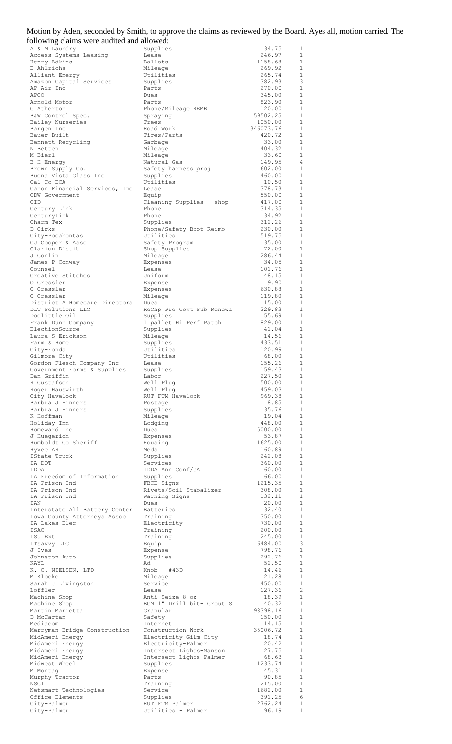| Motion by Aden, seconded by Smith, to approve the claims as reviewed by the Board. Ayes all, motion carried. The<br>following claims were audited and allowed: |                             |                  |                              |  |
|----------------------------------------------------------------------------------------------------------------------------------------------------------------|-----------------------------|------------------|------------------------------|--|
| A & M Laundry                                                                                                                                                  | Supplies                    | 34.75            | 1                            |  |
| Access Systems Leasing                                                                                                                                         | Lease                       | 246.97           | $\mathbf{1}$                 |  |
| Henry Adkins                                                                                                                                                   | Ballots                     | 1158.68          | 1                            |  |
| E Ahlrichs                                                                                                                                                     | Mileage                     | 269.92           | 1                            |  |
| Alliant Energy                                                                                                                                                 | Utilities                   | 265.74           | $\mathbf{1}$                 |  |
| Amazon Capital Services                                                                                                                                        | Supplies                    | 382.93           | 3                            |  |
| AP Air Inc                                                                                                                                                     | Parts                       | 270.00           | $\mathbf{1}$                 |  |
| APCO                                                                                                                                                           | Dues                        | 345.00           | $\mathbf{1}$                 |  |
| Arnold Motor                                                                                                                                                   | Parts                       | 823.90           | $\mathbf{1}$                 |  |
| G Atherton                                                                                                                                                     | Phone/Mileage REMB          | 120.00           | 1                            |  |
| B&W Control Spec.                                                                                                                                              | Spraying                    | 59502.25         | $\mathbf{1}$                 |  |
| Bailey Nurseries                                                                                                                                               | Trees                       | 1050.00          | $\mathbf{1}$                 |  |
| Bargen Inc                                                                                                                                                     | Road Work                   | 346073.76        | $\mathbf{1}$                 |  |
| Bauer Built                                                                                                                                                    | Tires/Parts                 | 420.72           | $\mathbf{1}$                 |  |
| Bennett Recycling                                                                                                                                              | Garbage                     | 33.00            | $\mathbf{1}$                 |  |
| N Betten                                                                                                                                                       | Mileage                     | 404.32           | $\mathbf{1}$                 |  |
| M Bierl                                                                                                                                                        | Mileage                     | 33.60            | $\mathbf{1}$                 |  |
| <b>B</b> H Energy                                                                                                                                              | Natural Gas                 | 149.95           | 4                            |  |
| Brown Supply Co.                                                                                                                                               | Safety harness proj         | 602.00           | $\mathbf{1}$                 |  |
| Buena Vista Glass Inc                                                                                                                                          | Supplies                    | 460.00           | 1                            |  |
| Cal Co ECA                                                                                                                                                     | Utilities                   | 10.50            | $\mathbf{1}$                 |  |
| Canon Financial Services, Inc                                                                                                                                  | Lease                       | 378.73           | $\mathbf{1}$                 |  |
| CDW Government                                                                                                                                                 | Equip                       | 550.00           | $\mathbf{1}$                 |  |
| CID                                                                                                                                                            | Cleaning Supplies - shop    | 417.00           | 1                            |  |
| Century Link                                                                                                                                                   | Phone                       | 314.35           | $\mathbf{1}$                 |  |
| CenturyLink                                                                                                                                                    | Phone                       | 34.92            | $\mathbf{1}$                 |  |
| Charm-Tex                                                                                                                                                      | Supplies                    | 312.26           | $\mathbf{1}$<br>$\mathbf{1}$ |  |
| D Cirks                                                                                                                                                        | Phone/Safety Boot Reimb     | 230.00<br>519.75 | $\mathbf{1}$                 |  |
| City-Pocahontas<br>CJ Cooper & Asso                                                                                                                            | Utilities<br>Safety Program | 35.00            | $\mathbf{1}$                 |  |
| Clarion Distib                                                                                                                                                 | Shop Supplies               | 72.00            | $\mathbf{1}$                 |  |
| J Conlin                                                                                                                                                       | Mileage                     | 286.44           | $\mathbf{1}$                 |  |
| James P Conway                                                                                                                                                 | Expenses                    | 34.05            | $\mathbf{1}$                 |  |
| Counsel                                                                                                                                                        | Lease                       | 101.76           | $\mathbf{1}$                 |  |
| Creative Stitches                                                                                                                                              | Uniform                     | 48.15            | $\mathbf{1}$                 |  |
| O Cressler                                                                                                                                                     | Expense                     | 9.90             | 1                            |  |
| O Cressler                                                                                                                                                     | Expenses                    | 630.88           | $\mathbf{1}$                 |  |
| O Cressler                                                                                                                                                     | Mileage                     | 119.80           | $\mathbf{1}$                 |  |
| District A Homecare Directors                                                                                                                                  | Dues                        | 15.00            | $\mathbf{1}$                 |  |
| DLT Solutions LLC                                                                                                                                              | ReCap Pro Govt Sub Renewa   | 229.83           | $\mathbf{1}$                 |  |
| Doolittle Oil                                                                                                                                                  | Supplies                    | 55.69            | 1                            |  |
| Frank Dunn Company                                                                                                                                             | 1 pallet Hi Perf Patch      | 829.00           | 1                            |  |
| ElectionSource                                                                                                                                                 | Supplies                    | 41.04            | $\mathbf{1}$                 |  |
| Laura S Erickson                                                                                                                                               | Mileage                     | 14.56            | $\mathbf{1}$                 |  |
| Farm & Home                                                                                                                                                    | Supplies                    | 433.51           | $\mathbf{1}$                 |  |
| City-Fonda                                                                                                                                                     | Utilities                   | 120.99           | 1                            |  |
| Gilmore City                                                                                                                                                   | Utilities                   | 68.00            | $\mathbf{1}$                 |  |
| Gordon Flesch Company Inc                                                                                                                                      | Lease                       | 155.26           | $\mathbf{1}$                 |  |
| Government Forms & Supplies                                                                                                                                    | Supplies                    | 159.43           | $\mathbf{1}$                 |  |
| Dan Griffin                                                                                                                                                    | Labor                       | 227.50           | $\mathbf{1}$                 |  |
| R Gustafson                                                                                                                                                    | Well Plug                   | 500.00           | $\mathbf{1}$                 |  |
| Roger Hauswirth                                                                                                                                                | Well Plug                   | 459.03           | $\mathbf{1}$                 |  |
| City-Havelock                                                                                                                                                  | RUT FTM Havelock            | 969.38           | $\mathbf{1}$                 |  |
| Barbra J Hinners                                                                                                                                               | Postage                     | 8.85             | $\mathbf{1}$                 |  |
| Barbra J Hinners                                                                                                                                               | Supplies                    | 35.76            | $\mathbf{1}$                 |  |
| K Hoffman                                                                                                                                                      | Mileage                     | 19.04            | $\mathbf{1}$                 |  |
| Holiday Inn                                                                                                                                                    | Lodging                     | 448.00           | $\mathbf{1}$                 |  |
| Homeward Inc                                                                                                                                                   | Dues                        | 5000.00          | $\mathbf{1}$                 |  |
| J Huegerich<br>Humboldt Co Sheriff                                                                                                                             | Expenses                    | 53.87<br>1625.00 | $\mathbf{1}$<br>$\mathbf{1}$ |  |
| HyVee AR                                                                                                                                                       | Housing<br>Meds             | 160.89           | $\mathbf{1}$                 |  |
| IState Truck                                                                                                                                                   | Supplies                    | 242.08           | $\mathbf{1}$                 |  |
| IA DOT                                                                                                                                                         | Services                    | 360.00           | $\mathbf{1}$                 |  |
| IDDA                                                                                                                                                           | IDDA Ann Conf/GA            | 60.00            | $\mathbf{1}$                 |  |

| R Gustafson                   | Well Plug                 | 500.00   | 1            |
|-------------------------------|---------------------------|----------|--------------|
| Roger Hauswirth               | Well Plug                 | 459.03   | $\mathbf{1}$ |
| City-Havelock                 | RUT FTM Havelock          | 969.38   | $\mathbf{1}$ |
| Barbra J Hinners              | Postage                   | 8.85     | 1            |
| Barbra J Hinners              | Supplies                  | 35.76    | 1            |
| K Hoffman                     | Mileage                   | 19.04    | 1            |
| Holiday Inn                   | Lodging                   | 448.00   | 1            |
| Homeward Inc                  | Dues                      | 5000.00  | 1            |
| J Huegerich                   | Expenses                  | 53.87    | $\mathbf{1}$ |
| Humboldt Co Sheriff           | Housing                   | 1625.00  | 1            |
| HyVee AR                      | Meds                      | 160.89   | $\mathbf{1}$ |
| IState Truck                  | Supplies                  | 242.08   | $1\,$        |
| IA DOT                        | Services                  | 360.00   | $\mathbf{1}$ |
| IDDA                          | IDDA Ann Conf/GA          | 60.00    | $\mathbf{1}$ |
| IA Freedom of Information     | Supplies                  | 66.00    | $\mathbf{1}$ |
| IA Prison Ind                 | FBCE Signs                | 1215.35  | $\mathbf{1}$ |
| IA Prison Ind                 | Rivets/Soil Stabalizer    | 308.00   | 1            |
| IA Prison Ind                 | Warning Signs             | 132.11   | $\mathbf{1}$ |
| IAN                           | Dues                      | 20.00    | $\mathbf{1}$ |
| Interstate All Battery Center | Batteries                 | 32.40    | 1            |
| Iowa County Attorneys Assoc   | Training                  | 350.00   | 1            |
| IA Lakes Elec                 | Electricity               | 730.00   | 1            |
| ISAC                          | Training                  | 200.00   | $1\,$        |
| ISU Ext                       | Training                  | 245.00   | 1            |
| ITsavvy LLC                   | Equip                     | 6484.00  | 3            |
| J Ives                        | Expense                   | 798.76   | 1            |
| Johnston Auto                 | Supplies                  | 292.76   | $1\,$        |
| KAYL                          | Ad                        | 52.50    | 1            |
| K. C. NIELSEN, LTD            | $Knob - #43D$             | 14.46    | $\mathbf{1}$ |
| M Klocke                      | Mileage                   | 21.28    | 1            |
| Sarah J Livingston            | Service                   | 450.00   | $\mathbf{1}$ |
| Loffler                       | Lease                     | 127.36   | 2            |
| Machine Shop                  | Anti Seize 8 oz           | 18.39    | 1            |
| Machine Shop                  | BGM 1" Drill bit- Grout S | 40.32    | 1            |
| Martin Marietta               | Granular                  | 98398.16 | $\mathbf{1}$ |
| D McCartan                    | Safety                    | 150.00   | $\mathbf 1$  |
| Mediacom                      | Internet                  | 14.15    | 1            |
| Merryman Bridge Construction  | Construction Work         | 35006.72 | $\mathbf{1}$ |
| MidAmeri Energy               | Electricity-Gilm City     | 18.74    | $\mathbf{1}$ |
| MidAmeri Energy               | Electricity-Palmer        | 20.42    | $\mathbf{1}$ |
| MidAmeri Energy               | Intersect Lights-Manson   | 27.75    | 1            |
| MidAmeri Energy               | Intersect Lights-Palmer   | 68.63    | $\mathbf{1}$ |
| Midwest Wheel                 | Supplies                  | 1233.74  | 1            |
| M Montag                      | Expense                   | 45.31    | $\mathbf{1}$ |
| Murphy Tractor                | Parts                     | 90.85    | 1            |
| NSCI                          | Training                  | 215.00   | 1            |
| Netsmart Technologies         | Service                   | 1682.00  | 1            |
| Office Elements               | Supplies                  | 391.25   | 6            |
| City-Palmer                   | RUT FTM Palmer            | 2762.24  | 1            |
| City-Palmer                   | Utilities - Palmer        | 96.19    | 1            |
|                               |                           |          |              |